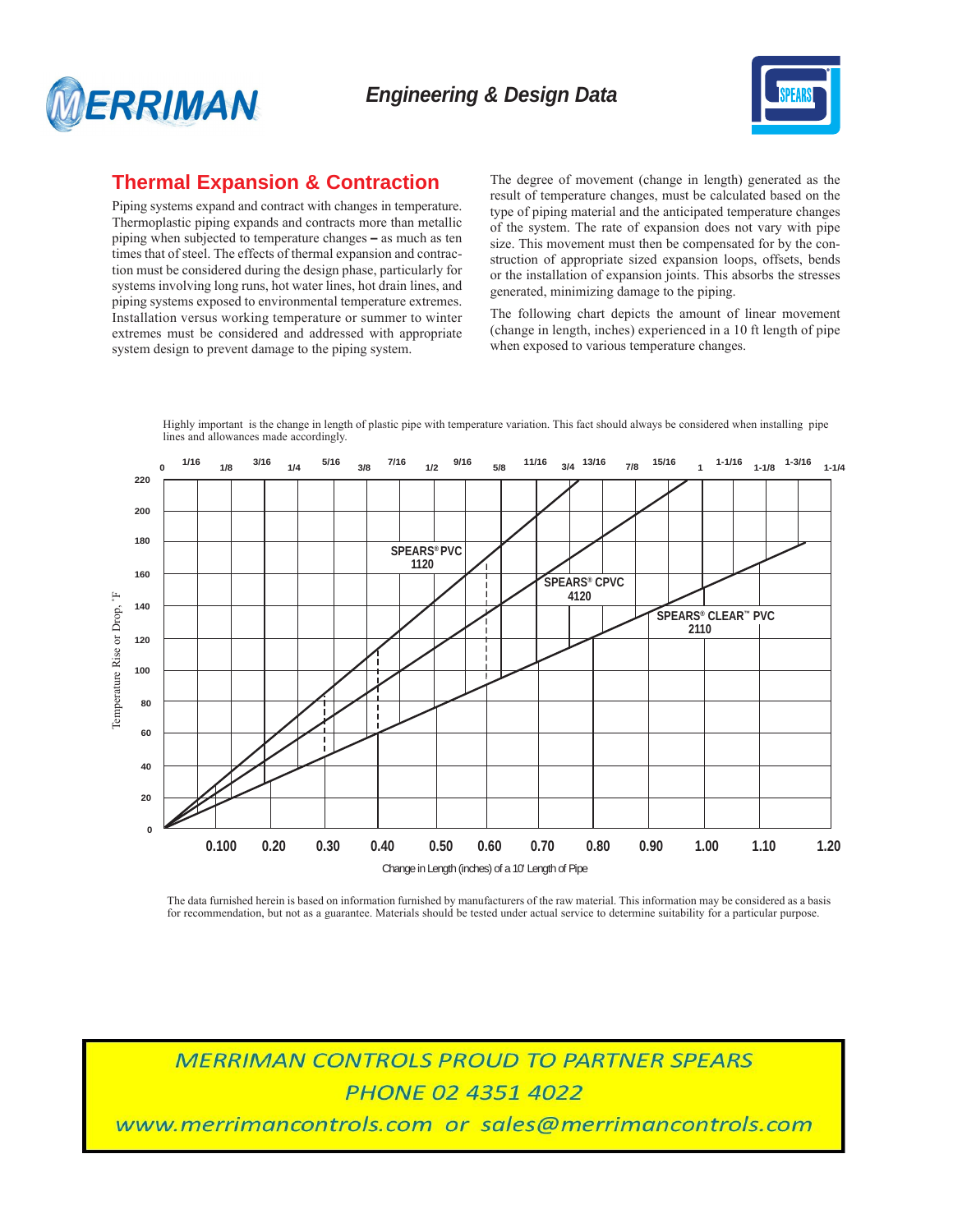



## **Thermal Expansion & Contraction**

Piping systems expand and contract with changes in temperature. Thermoplastic piping expands and contracts more than metallic piping when subjected to temperature changes – as much as ten times that of steel. The effects of thermal expansion and contraction must be considered during the design phase, particularly for systems involving long runs, hot water lines, hot drain lines, and piping systems exposed to environmental temperature extremes. Installation versus working temperature or summer to winter extremes must be considered and addressed with appropriate system design to prevent damage to the piping system.

The degree of movement (change in length) generated as the result of temperature changes, must be calculated based on the type of piping material and the anticipated temperature changes of the system. The rate of expansion does not vary with pipe size. This movement must then be compensated for by the construction of appropriate sized expansion loops, offsets, bends or the installation of expansion joints. This absorbs the stresses generated, minimizing damage to the piping.

The following chart depicts the amount of linear movement (change in length, inches) experienced in a 10 ft length of pipe when exposed to various temperature changes.

Highly important is the change in length of plastic pipe with temperature variation. This fact should always be considered when installing pipe lines and allowances made accordingly.



The data furnished herein is based on information furnished by manufacturers of the raw material. This information may be considered as a basis for recommendation, but not as a guarantee. Materials should be tested under actual service to determine suitability for a particular purpose.

**MERRIMAN CONTROLS PROUD TO PARTNER SPEARS PHONE 02 4351 4022** 

www.merrimancontrols.com or sales@merrimancontrols.com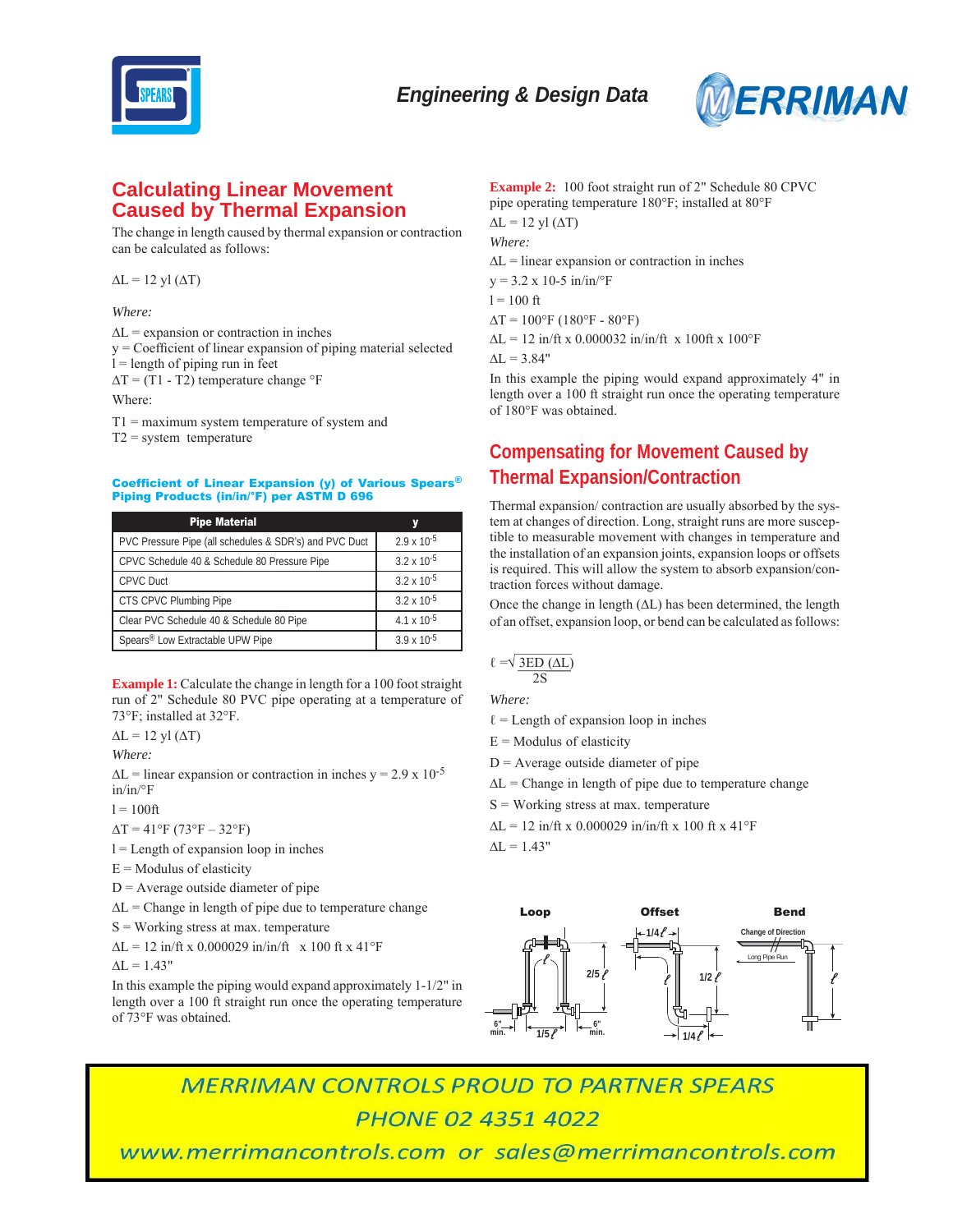



## **Calculating Linear Movement Caused by Thermal Expansion**

The change in length caused by thermal expansion or contraction can be calculated as follows:

 $\Delta L = 12$  yl  $(\Delta T)$ 

*Where:*

∆L = expansion or contraction in inches

 $y = Coefficient of linear expansion of piping material selected$ 

 $l =$  length of piping run in feet

 $\Delta T$  = (T1 - T2) temperature change  $\mathrm{P}F$ 

Where:

T1 = maximum system temperature of system and

 $T2$  = system temperature

### Coefficient of Linear Expansion (y) of Various Spears® Piping Products (in/in/°F) per ASTM D 696

| <b>Pipe Material</b>                                   |                      |
|--------------------------------------------------------|----------------------|
| PVC Pressure Pipe (all schedules & SDR's) and PVC Duct | $2.9 \times 10^{-5}$ |
| CPVC Schedule 40 & Schedule 80 Pressure Pipe           | $3.2 \times 10^{-5}$ |
| <b>CPVC Duct</b>                                       | $3.2 \times 10^{-5}$ |
| CTS CPVC Plumbing Pipe                                 | $3.2 \times 10^{-5}$ |
| Clear PVC Schedule 40 & Schedule 80 Pipe               | $4.1 \times 10^{-5}$ |
| Spears® Low Extractable UPW Pipe                       | $3.9 \times 10^{-5}$ |

**Example 1:** Calculate the change in length for a 100 foot straight run of 2" Schedule 80 PVC pipe operating at a temperature of 73°F; installed at 32°F.

 $\Delta L = 12$  yl  $(\Delta T)$ 

*Where:*

 $\Delta L$  = linear expansion or contraction in inches y = 2.9 x 10<sup>-5</sup> in/in/°F

 $l = 100$ ft

 $\Delta T = 41^{\circ}F (73^{\circ}F - 32^{\circ}F)$ 

 $l =$  Length of expansion loop in inches

 $E =$  Modulus of elasticity

 $D =$  Average outside diameter of pipe

 $\Delta L$  = Change in length of pipe due to temperature change

 $S = Working stress at max. temperature$ 

 $\Delta L = 12$  in/ft x 0.000029 in/in/ft x 100 ft x 41°F

 $\Delta L = 1.43"$ 

In this example the piping would expand approximately 1-1/2" in length over a 100 ft straight run once the operating temperature of 73°F was obtained.

**Example 2:** 100 foot straight run of 2" Schedule 80 CPVC pipe operating temperature 180°F; installed at 80°F  $\Delta L = 12$  yl  $(\Delta T)$ *Where:*  $\Delta L$  = linear expansion or contraction in inches  $y = 3.2 \times 10{-5}$  in/in/°F  $l = 100$  ft  $\Delta T = 100^{\circ}F (180^{\circ}F - 80^{\circ}F)$  $\Delta L = 12$  in/ft x 0.000032 in/in/ft x 100ft x 100°F  $\Delta L = 3.84"$ 

In this example the piping would expand approximately 4" in length over a 100 ft straight run once the operating temperature of 180°F was obtained.

# **Compensating for Movement Caused by Thermal Expansion/Contraction**

Thermal expansion/ contraction are usually absorbed by the system at changes of direction. Long, straight runs are more susceptible to measurable movement with changes in temperature and the installation of an expansion joints, expansion loops or offsets is required. This will allow the system to absorb expansion/contraction forces without damage.

Once the change in length (∆L) has been determined, the length of an offset, expansion loop, or bend can be calculated as follows:

$$
\ell = \sqrt{\frac{3ED(\Delta L)}{2S}}
$$

*Where:*

- $\ell$  = Length of expansion loop in inches
- $E =$  Modulus of elasticity
- $D =$  Average outside diameter of pipe
- $\Delta L$  = Change in length of pipe due to temperature change
- $S =$  Working stress at max. temperature
- $\Delta L = 12$  in/ft x 0.000029 in/in/ft x 100 ft x 41°F

 $\Delta L = 1.43"$ 



**MERRIMAN CONTROLS PROUD TO PARTNER SPEARS PHONE 02 4351 4022** 

www.merrimancontrols.com or sales@merrimancontrols.com